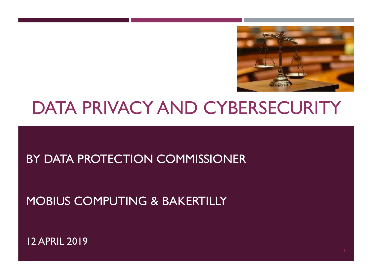

# DATA PRIVACY AND CYBERSECURITY

#### BY DATA PROTECTION COMMISSIONER

#### MOBIUS COMPUTING & BAKERTILLY

12 APRIL 2019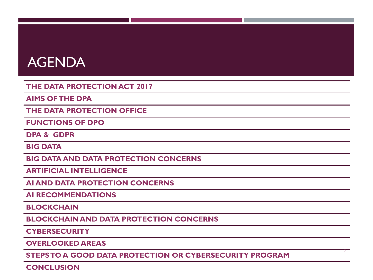#### AGENDA

**THE DATA PROTECTION ACT 2017**

**AIMS OF THE DPA**

**THE DATA PROTECTION OFFICE**

**FUNCTIONS OF DPO**

**DPA & GDPR**

**BIG DATA**

**BIG DATA AND DATA PROTECTION CONCERNS**

**ARTIFICIAL INTELLIGENCE**

**AI AND DATA PROTECTION CONCERNS**

**AI RECOMMENDATIONS**

**BLOCKCHAIN**

**BLOCKCHAIN AND DATA PROTECTION CONCERNS**

**CYBERSECURITY**

**OVERLOOKED AREAS**

**STEPS TO A GOOD DATA PROTECTION OR CYBERSECURITY PROGRAM**

**CONCLUSION**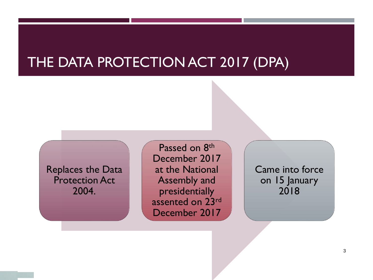#### THE DATA PROTECTION ACT 2017 (DPA)

Replaces the Data Protection Act 2004.

Passed on 8<sup>th</sup> December 2017 at the National Assembly and presidentially assented on 23rd December 2017

Came into force on 15 January 2018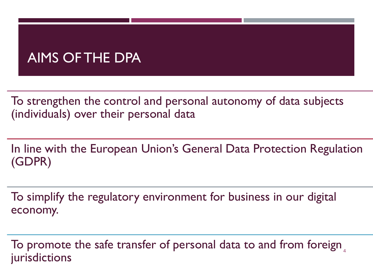### AIMS OF THE DPA

To strengthen the control and personal autonomy of data subjects (individuals) over their personal data

In line with the European Union's General Data Protection Regulation (GDPR)

To simplify the regulatory environment for business in our digital economy.

To promote the safe transfer of personal data to and from foreign  $_4$ jurisdictions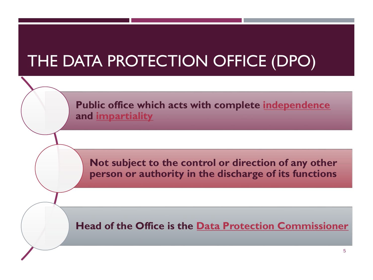# THE DATA PROTECTION OFFICE (DPO)

**Public office which acts with complete independence and impartiality**

**Not subject to the control or direction of any other person or authority in the discharge of its functions**

**Head of the Office is the Data Protection Commissioner**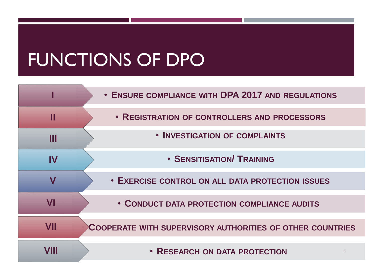# FUNCTIONS OF DPO

|      | • ENSURE COMPLIANCE WITH DPA 2017 AND REGULATIONS                |
|------|------------------------------------------------------------------|
| M    | • REGISTRATION OF CONTROLLERS AND PROCESSORS                     |
| Ш    | • INVESTIGATION OF COMPLAINTS                                    |
| IV   | <b>• SENSITISATION/ TRAINING</b>                                 |
| V    | • EXERCISE CONTROL ON ALL DATA PROTECTION ISSUES                 |
| VI   | • CONDUCT DATA PROTECTION COMPLIANCE AUDITS                      |
| VII  | <b>COOPERATE WITH SUPERVISORY AUTHORITIES OF OTHER COUNTRIES</b> |
| VIII | • RESEARCH ON DATA PROTECTION                                    |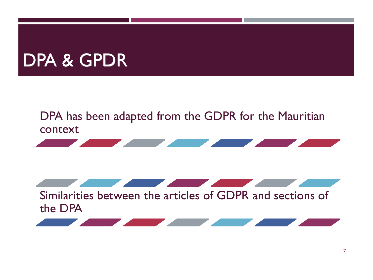# DPA & GPDR

#### DPA has been adapted from the GDPR for the Mauritian context



Similarities between the articles of GDPR and sections of the DPA



**Contract Contract Contract Contract**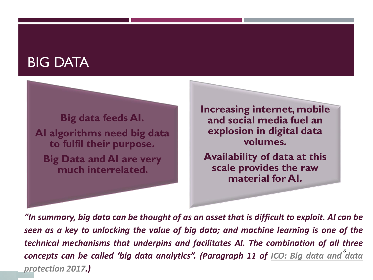#### BIG DATA

**Big data feeds AI. AI algorithms need big data to fulfil their purpose. Big Data and AI are very much interrelated.** 

**Increasing internet, mobile and social media fuel an explosion in digital data volumes.**

**Availability of data at this scale provides the raw material for AI.**

8 *concepts can be called 'big data analytics". [\(Paragraph](https://uk.practicallaw.thomsonreuters.com/3-606-4065?originationContext=document&transitionType=DocumentItem&contextData=(sc.Default)&comp=pluk) 11 of ICO: Big data and data "In summary, big data can be thought of as an asset that is difficult to exploit. AI can be seen as a key to unlocking the value of big data; and machine learning is one of the technical mechanisms that underpins and facilitates AI. The combination of all three protection 2017.)*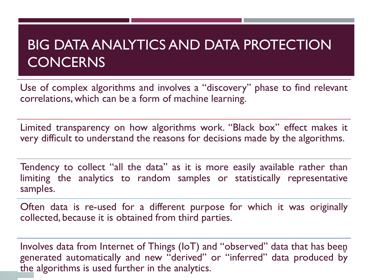## BIG DATA ANALYTICS AND DATA PROTECTION **CONCERNS**

Use of complex algorithms and involves a "discovery" phase to find relevant correlations, which can be a form of machine learning.

Limited transparency on how algorithms work. "Black box" effect makes it very difficult to understand the reasons for decisions made by the algorithms.

Tendency to collect "all the data" as it is more easily available rather than limiting the analytics to random samples or statistically representative samples.

Often data is re-used for a different purpose for which it was originally collected, because it is obtained from third parties.

Involves data from Internet of Things (IoT) and "observed" data that has been generated automatically and new "derived" or "inferred" data produced by the algorithms is used further in the analytics.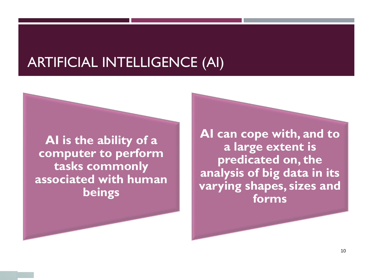#### ARTIFICIAL INTELLIGENCE (AI)

**AI is the ability of a computer to perform tasks commonly associated with human beings**

**AI can cope with, and to a large extent is predicated on, the analysis of big data in its varying shapes, sizes and forms**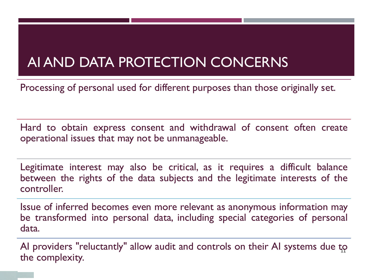## AI AND DATA PROTECTION CONCERNS

Processing of personal used for different purposes than those originally set.

Hard to obtain express consent and withdrawal of consent often create operational issues that may not be unmanageable.

Legitimate interest may also be critical, as it requires a difficult balance between the rights of the data subjects and the legitimate interests of the controller.

Issue of inferred becomes even more relevant as anonymous information may be transformed into personal data, including special categories of personal data.

AI providers "reluctantly" allow audit and controls on their AI systems due to the complexity.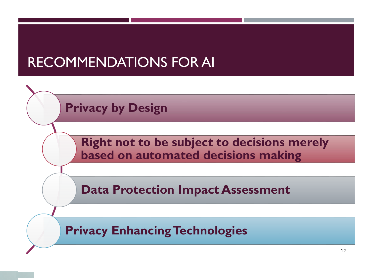## RECOMMENDATIONS FOR AI

**Privacy by Design**

**Right not to be subject to decisions merely based on automated decisions making**

**Data Protection Impact Assessment**

**Privacy Enhancing Technologies**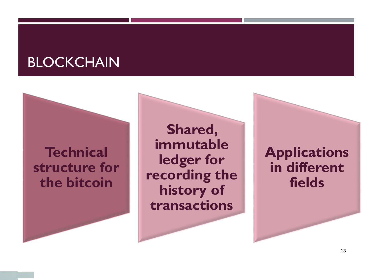#### **BLOCKCHAIN**

#### **Technical structure for the bitcoin**

**Shared, immutable ledger for recording the history of transactions**

**Applications in different fields**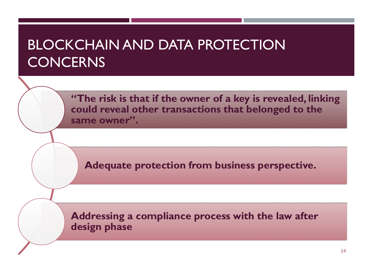## BLOCKCHAIN AND DATA PROTECTION **CONCERNS**

**"The risk is that if the owner of a key is revealed, linking could reveal other transactions that belonged to the same owner".** 

**Adequate protection from business perspective.**

**Addressing a compliance process with the law after design phase**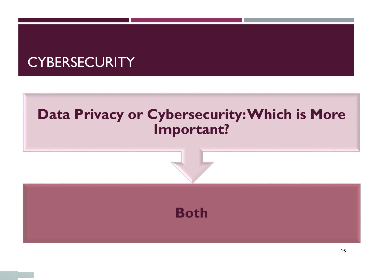### **CYBERSECURITY**

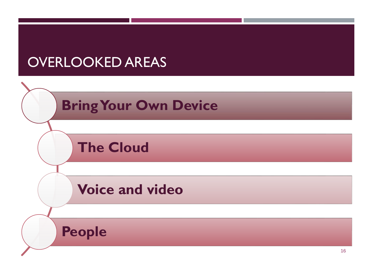## OVERLOOKED AREAS

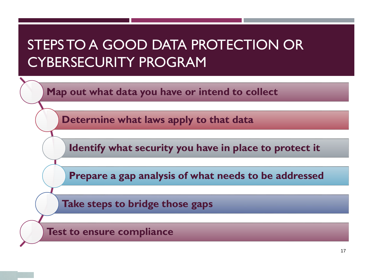## STEPS TO A GOOD DATA PROTECTION OR CYBERSECURITY PROGRAM

**Map out what data you have or intend to collect**

**Determine what laws apply to that data**

**Identify what security you have in place to protect it**

**Prepare a gap analysis of what needs to be addressed**

**Take steps to bridge those gaps**

**Test to ensure compliance**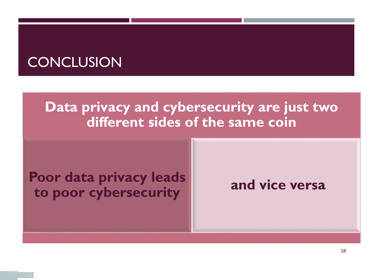### **CONCLUSION**

#### **Data privacy and cybersecurity are just two different sides of the same coin**

#### **Poor data privacy leads to poor cybersecurity and vice versa**